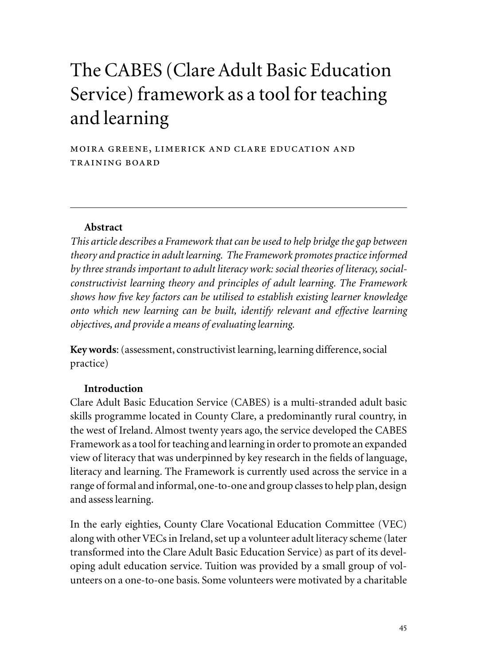# The CABES (Clare Adult Basic Education Service) framework as a tool for teaching and learning

moira greene, limerick and clare education and training board

#### **Abstract**

*This article describes a Framework that can be used to help bridge the gap between theory and practice in adult learning. The Framework promotes practice informed by three strands important to adult literacy work: social theories of literacy, socialconstructivist learning theory and principles of adult learning. The Framework shows how five key factors can be utilised to establish existing learner knowledge onto which new learning can be built, identify relevant and effective learning objectives, and provide a means of evaluating learning.*

**Key words**: (assessment, constructivist learning, learning difference, social practice)

#### **Introduction**

Clare Adult Basic Education Service (CABES) is a multi-stranded adult basic skills programme located in County Clare, a predominantly rural country, in the west of Ireland. Almost twenty years ago, the service developed the CABES Framework as a tool for teaching and learning in order to promote an expanded view of literacy that was underpinned by key research in the fields of language, literacy and learning. The Framework is currently used across the service in a range of formal and informal, one-to-one and group classes to help plan, design and assess learning.

In the early eighties, County Clare Vocational Education Committee (VEC) along with other VECs in Ireland, set up a volunteer adult literacy scheme (later transformed into the Clare Adult Basic Education Service) as part of its developing adult education service. Tuition was provided by a small group of volunteers on a one-to-one basis. Some volunteers were motivated by a charitable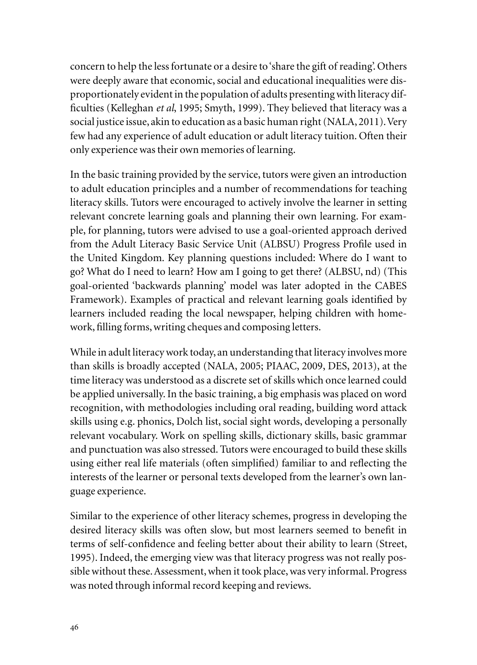concern to help the less fortunate or a desire to 'share the gift of reading'. Others were deeply aware that economic, social and educational inequalities were disproportionately evident in the population of adults presenting with literacy difficulties (Kelleghan *et al*, 1995; Smyth, 1999). They believed that literacy was a social justice issue, akin to education as a basic human right (NALA, 2011). Very few had any experience of adult education or adult literacy tuition. Often their only experience was their own memories of learning.

In the basic training provided by the service, tutors were given an introduction to adult education principles and a number of recommendations for teaching literacy skills. Tutors were encouraged to actively involve the learner in setting relevant concrete learning goals and planning their own learning. For example, for planning, tutors were advised to use a goal-oriented approach derived from the Adult Literacy Basic Service Unit (ALBSU) Progress Profile used in the United Kingdom. Key planning questions included: Where do I want to go? What do I need to learn? How am I going to get there? (ALBSU, nd) (This goal-oriented 'backwards planning' model was later adopted in the CABES Framework). Examples of practical and relevant learning goals identified by learners included reading the local newspaper, helping children with homework, filling forms, writing cheques and composing letters.

While in adult literacy work today, an understanding that literacy involves more than skills is broadly accepted (NALA, 2005; PIAAC, 2009, DES, 2013), at the time literacy was understood as a discrete set of skills which once learned could be applied universally. In the basic training, a big emphasis was placed on word recognition, with methodologies including oral reading, building word attack skills using e.g. phonics, Dolch list, social sight words, developing a personally relevant vocabulary. Work on spelling skills, dictionary skills, basic grammar and punctuation was also stressed. Tutors were encouraged to build these skills using either real life materials (often simplified) familiar to and reflecting the interests of the learner or personal texts developed from the learner's own language experience.

Similar to the experience of other literacy schemes, progress in developing the desired literacy skills was often slow, but most learners seemed to benefit in terms of self-confidence and feeling better about their ability to learn (Street, 1995). Indeed, the emerging view was that literacy progress was not really possible without these. Assessment, when it took place, was very informal. Progress was noted through informal record keeping and reviews.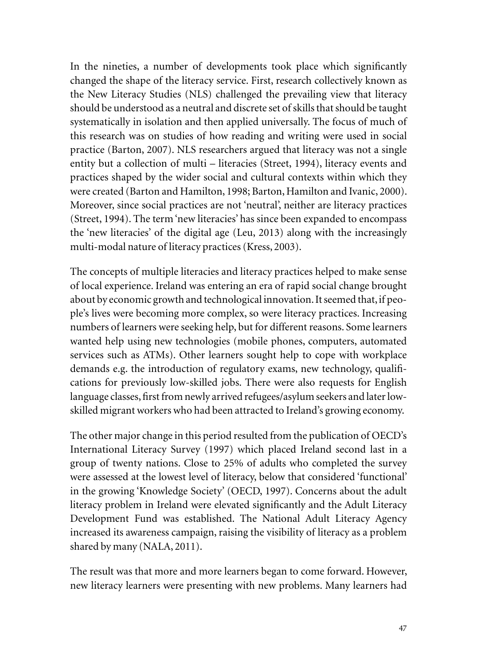In the nineties, a number of developments took place which significantly changed the shape of the literacy service. First, research collectively known as the New Literacy Studies (NLS) challenged the prevailing view that literacy should be understood as a neutral and discrete set of skills that should be taught systematically in isolation and then applied universally. The focus of much of this research was on studies of how reading and writing were used in social practice (Barton, 2007). NLS researchers argued that literacy was not a single entity but a collection of multi – literacies (Street, 1994), literacy events and practices shaped by the wider social and cultural contexts within which they were created (Barton and Hamilton, 1998; Barton, Hamilton and Ivanic, 2000). Moreover, since social practices are not 'neutral', neither are literacy practices (Street, 1994). The term 'new literacies' has since been expanded to encompass the 'new literacies' of the digital age (Leu, 2013) along with the increasingly multi-modal nature of literacy practices (Kress, 2003).

The concepts of multiple literacies and literacy practices helped to make sense of local experience. Ireland was entering an era of rapid social change brought about by economic growth and technological innovation. It seemed that, if people's lives were becoming more complex, so were literacy practices. Increasing numbers of learners were seeking help, but for different reasons. Some learners wanted help using new technologies (mobile phones, computers, automated services such as ATMs). Other learners sought help to cope with workplace demands e.g. the introduction of regulatory exams, new technology, qualifications for previously low-skilled jobs. There were also requests for English language classes, first from newly arrived refugees/asylum seekers and later lowskilled migrant workers who had been attracted to Ireland's growing economy.

The other major change in this period resulted from the publication of OECD's International Literacy Survey (1997) which placed Ireland second last in a group of twenty nations. Close to 25% of adults who completed the survey were assessed at the lowest level of literacy, below that considered 'functional' in the growing 'Knowledge Society' (OECD, 1997). Concerns about the adult literacy problem in Ireland were elevated significantly and the Adult Literacy Development Fund was established. The National Adult Literacy Agency increased its awareness campaign, raising the visibility of literacy as a problem shared by many (NALA, 2011).

The result was that more and more learners began to come forward. However, new literacy learners were presenting with new problems. Many learners had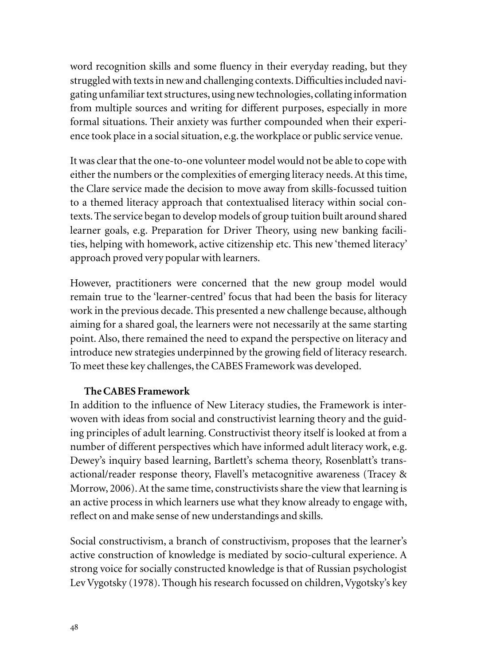word recognition skills and some fluency in their everyday reading, but they struggled with texts in new and challenging contexts. Difficulties included navigating unfamiliar text structures, using new technologies, collating information from multiple sources and writing for different purposes, especially in more formal situations. Their anxiety was further compounded when their experience took place in a social situation, e.g. the workplace or public service venue.

It was clear that the one-to-one volunteer model would not be able to cope with either the numbers or the complexities of emerging literacy needs. At this time, the Clare service made the decision to move away from skills-focussed tuition to a themed literacy approach that contextualised literacy within social contexts. The service began to develop models of group tuition built around shared learner goals, e.g. Preparation for Driver Theory, using new banking facilities, helping with homework, active citizenship etc. This new 'themed literacy' approach proved very popular with learners.

However, practitioners were concerned that the new group model would remain true to the 'learner-centred' focus that had been the basis for literacy work in the previous decade. This presented a new challenge because, although aiming for a shared goal, the learners were not necessarily at the same starting point. Also, there remained the need to expand the perspective on literacy and introduce new strategies underpinned by the growing field of literacy research. To meet these key challenges, the CABES Framework was developed.

# **The CABES Framework**

In addition to the influence of New Literacy studies, the Framework is interwoven with ideas from social and constructivist learning theory and the guiding principles of adult learning. Constructivist theory itself is looked at from a number of different perspectives which have informed adult literacy work, e.g. Dewey's inquiry based learning, Bartlett's schema theory, Rosenblatt's transactional/reader response theory, Flavell's metacognitive awareness (Tracey & Morrow, 2006). At the same time, constructivists share the view that learning is an active process in which learners use what they know already to engage with, reflect on and make sense of new understandings and skills.

Social constructivism, a branch of constructivism, proposes that the learner's active construction of knowledge is mediated by socio-cultural experience. A strong voice for socially constructed knowledge is that of Russian psychologist Lev Vygotsky (1978). Though his research focussed on children, Vygotsky's key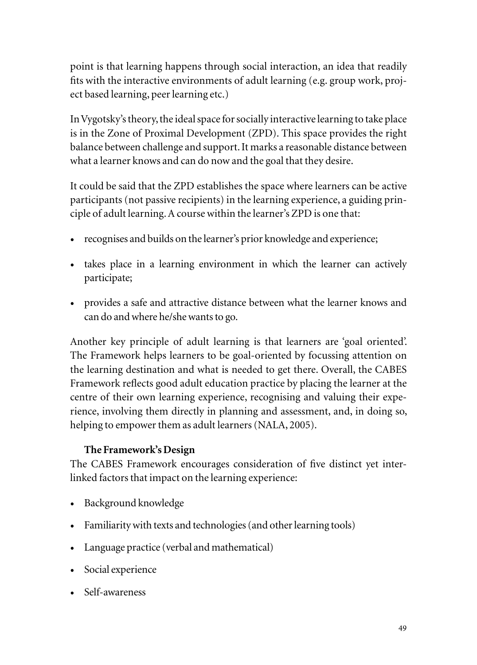point is that learning happens through social interaction, an idea that readily fits with the interactive environments of adult learning (e.g. group work, project based learning, peer learning etc.)

In Vygotsky's theory, the ideal space for socially interactive learning to take place is in the Zone of Proximal Development (ZPD). This space provides the right balance between challenge and support. It marks a reasonable distance between what a learner knows and can do now and the goal that they desire.

It could be said that the ZPD establishes the space where learners can be active participants (not passive recipients) in the learning experience, a guiding principle of adult learning. A course within the learner's ZPD is one that:

- recognises and builds on the learner's prior knowledge and experience;
- takes place in a learning environment in which the learner can actively participate;
- provides a safe and attractive distance between what the learner knows and can do and where he/she wants to go.

Another key principle of adult learning is that learners are 'goal oriented'. The Framework helps learners to be goal-oriented by focussing attention on the learning destination and what is needed to get there. Overall, the CABES Framework reflects good adult education practice by placing the learner at the centre of their own learning experience, recognising and valuing their experience, involving them directly in planning and assessment, and, in doing so, helping to empower them as adult learners (NALA, 2005).

# **The Framework's Design**

The CABES Framework encourages consideration of five distinct yet interlinked factors that impact on the learning experience:

- Background knowledge
- Familiarity with texts and technologies (and other learning tools)
- Language practice (verbal and mathematical)
- Social experience
- Self-awareness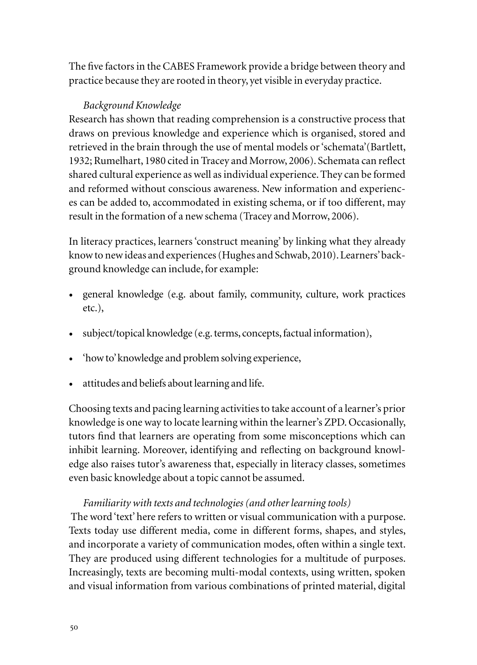The five factors in the CABES Framework provide a bridge between theory and practice because they are rooted in theory, yet visible in everyday practice.

## *Background Knowledge*

Research has shown that reading comprehension is a constructive process that draws on previous knowledge and experience which is organised, stored and retrieved in the brain through the use of mental models or 'schemata'(Bartlett, 1932; Rumelhart, 1980 cited in Tracey and Morrow, 2006). Schemata can reflect shared cultural experience as well as individual experience. They can be formed and reformed without conscious awareness. New information and experiences can be added to, accommodated in existing schema, or if too different, may result in the formation of a new schema (Tracey and Morrow, 2006).

In literacy practices, learners 'construct meaning' by linking what they already know to new ideas and experiences (Hughes and Schwab, 2010). Learners' background knowledge can include, for example:

- general knowledge (e.g. about family, community, culture, work practices etc.),
- subject/topical knowledge (e.g. terms, concepts, factual information),
- 'how to' knowledge and problem solving experience,
- attitudes and beliefs about learning and life.

Choosing texts and pacing learning activities to take account of a learner's prior knowledge is one way to locate learning within the learner's ZPD. Occasionally, tutors find that learners are operating from some misconceptions which can inhibit learning. Moreover, identifying and reflecting on background knowledge also raises tutor's awareness that, especially in literacy classes, sometimes even basic knowledge about a topic cannot be assumed.

# *Familiarity with texts and technologies (and other learning tools)*

The word 'text' here refers to written or visual communication with a purpose. Texts today use different media, come in different forms, shapes, and styles, and incorporate a variety of communication modes, often within a single text. They are produced using different technologies for a multitude of purposes. Increasingly, texts are becoming multi-modal contexts, using written, spoken and visual information from various combinations of printed material, digital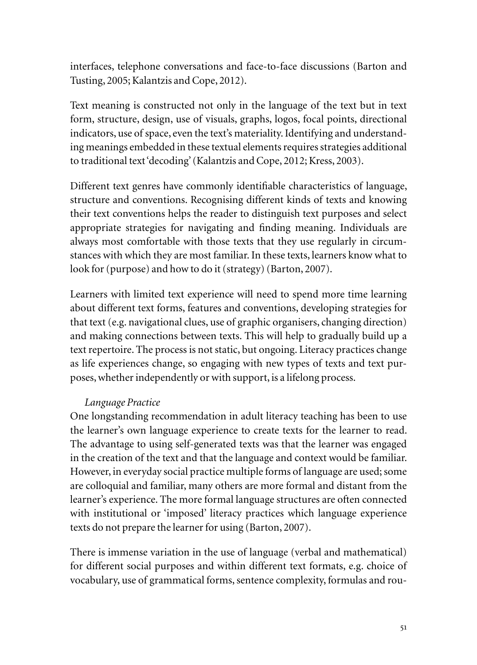interfaces, telephone conversations and face-to-face discussions (Barton and Tusting, 2005; Kalantzis and Cope, 2012).

Text meaning is constructed not only in the language of the text but in text form, structure, design, use of visuals, graphs, logos, focal points, directional indicators, use of space, even the text's materiality. Identifying and understanding meanings embedded in these textual elements requires strategies additional to traditional text 'decoding' (Kalantzis and Cope, 2012; Kress, 2003).

Different text genres have commonly identifiable characteristics of language, structure and conventions. Recognising different kinds of texts and knowing their text conventions helps the reader to distinguish text purposes and select appropriate strategies for navigating and finding meaning. Individuals are always most comfortable with those texts that they use regularly in circumstances with which they are most familiar. In these texts, learners know what to look for (purpose) and how to do it (strategy) (Barton, 2007).

Learners with limited text experience will need to spend more time learning about different text forms, features and conventions, developing strategies for that text (e.g. navigational clues, use of graphic organisers, changing direction) and making connections between texts. This will help to gradually build up a text repertoire. The process is not static, but ongoing. Literacy practices change as life experiences change, so engaging with new types of texts and text purposes, whether independently or with support, is a lifelong process.

#### *Language Practice*

One longstanding recommendation in adult literacy teaching has been to use the learner's own language experience to create texts for the learner to read. The advantage to using self-generated texts was that the learner was engaged in the creation of the text and that the language and context would be familiar. However, in everyday social practice multiple forms of language are used; some are colloquial and familiar, many others are more formal and distant from the learner's experience. The more formal language structures are often connected with institutional or 'imposed' literacy practices which language experience texts do not prepare the learner for using (Barton, 2007).

There is immense variation in the use of language (verbal and mathematical) for different social purposes and within different text formats, e.g. choice of vocabulary, use of grammatical forms, sentence complexity, formulas and rou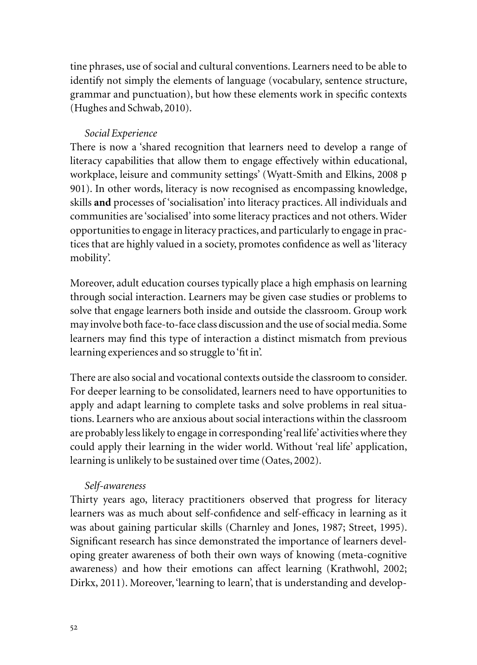tine phrases, use of social and cultural conventions. Learners need to be able to identify not simply the elements of language (vocabulary, sentence structure, grammar and punctuation), but how these elements work in specific contexts (Hughes and Schwab, 2010).

## *Social Experience*

There is now a 'shared recognition that learners need to develop a range of literacy capabilities that allow them to engage effectively within educational, workplace, leisure and community settings' (Wyatt-Smith and Elkins, 2008 p 901). In other words, literacy is now recognised as encompassing knowledge, skills **and** processes of 'socialisation' into literacy practices. All individuals and communities are 'socialised' into some literacy practices and not others. Wider opportunities to engage in literacy practices, and particularly to engage in practices that are highly valued in a society, promotes confidence as well as 'literacy mobility'.

Moreover, adult education courses typically place a high emphasis on learning through social interaction. Learners may be given case studies or problems to solve that engage learners both inside and outside the classroom. Group work may involve both face-to-face class discussion and the use of social media. Some learners may find this type of interaction a distinct mismatch from previous learning experiences and so struggle to 'fit in'.

There are also social and vocational contexts outside the classroom to consider. For deeper learning to be consolidated, learners need to have opportunities to apply and adapt learning to complete tasks and solve problems in real situations. Learners who are anxious about social interactions within the classroom are probably less likely to engage in corresponding 'real life' activities where they could apply their learning in the wider world. Without 'real life' application, learning is unlikely to be sustained over time (Oates, 2002).

# *Self-awareness*

Thirty years ago, literacy practitioners observed that progress for literacy learners was as much about self-confidence and self-efficacy in learning as it was about gaining particular skills (Charnley and Jones, 1987; Street, 1995). Significant research has since demonstrated the importance of learners developing greater awareness of both their own ways of knowing (meta-cognitive awareness) and how their emotions can affect learning (Krathwohl, 2002; Dirkx, 2011). Moreover, 'learning to learn', that is understanding and develop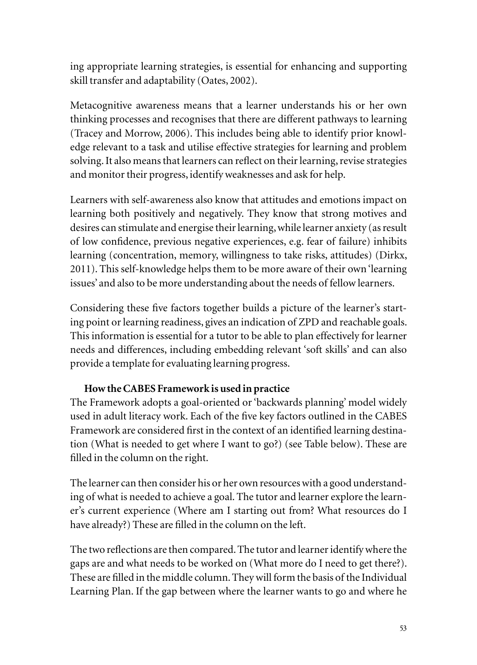ing appropriate learning strategies, is essential for enhancing and supporting skill transfer and adaptability (Oates, 2002).

Metacognitive awareness means that a learner understands his or her own thinking processes and recognises that there are different pathways to learning (Tracey and Morrow, 2006). This includes being able to identify prior knowledge relevant to a task and utilise effective strategies for learning and problem solving. It also means that learners can reflect on their learning, revise strategies and monitor their progress, identify weaknesses and ask for help.

Learners with self-awareness also know that attitudes and emotions impact on learning both positively and negatively. They know that strong motives and desires can stimulate and energise their learning, while learner anxiety (as result of low confidence, previous negative experiences, e.g. fear of failure) inhibits learning (concentration, memory, willingness to take risks, attitudes) (Dirkx, 2011). This self-knowledge helps them to be more aware of their own 'learning issues' and also to be more understanding about the needs of fellow learners.

Considering these five factors together builds a picture of the learner's starting point or learning readiness, gives an indication of ZPD and reachable goals. This information is essential for a tutor to be able to plan effectively for learner needs and differences, including embedding relevant 'soft skills' and can also provide a template for evaluating learning progress.

# **How the CABES Framework is used in practice**

The Framework adopts a goal-oriented or 'backwards planning' model widely used in adult literacy work. Each of the five key factors outlined in the CABES Framework are considered first in the context of an identified learning destination (What is needed to get where I want to go?) (see Table below). These are filled in the column on the right.

The learner can then consider his or her own resources with a good understanding of what is needed to achieve a goal. The tutor and learner explore the learner's current experience (Where am I starting out from? What resources do I have already?) These are filled in the column on the left.

The two reflections are then compared. The tutor and learner identify where the gaps are and what needs to be worked on (What more do I need to get there?). These are filled in the middle column. They will form the basis of the Individual Learning Plan. If the gap between where the learner wants to go and where he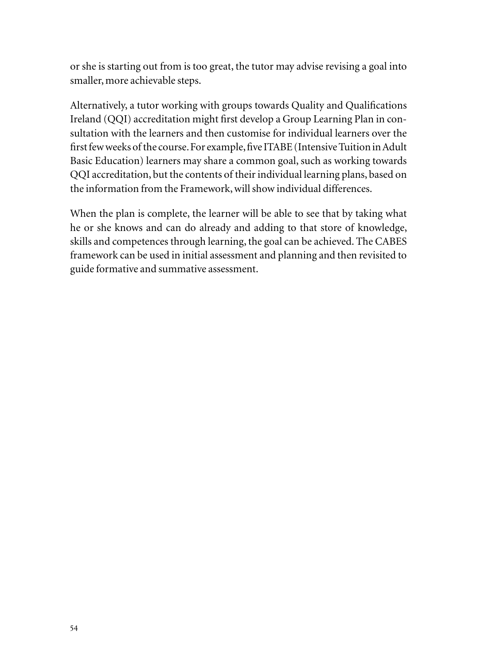or she is starting out from is too great, the tutor may advise revising a goal into smaller, more achievable steps.

Alternatively, a tutor working with groups towards Quality and Qualifications Ireland (QQI) accreditation might first develop a Group Learning Plan in consultation with the learners and then customise for individual learners over the first few weeks of the course. For example, five ITABE (Intensive Tuition in Adult Basic Education) learners may share a common goal, such as working towards QQI accreditation, but the contents of their individual learning plans, based on the information from the Framework, will show individual differences.

When the plan is complete, the learner will be able to see that by taking what he or she knows and can do already and adding to that store of knowledge, skills and competences through learning, the goal can be achieved. The CABES framework can be used in initial assessment and planning and then revisited to guide formative and summative assessment.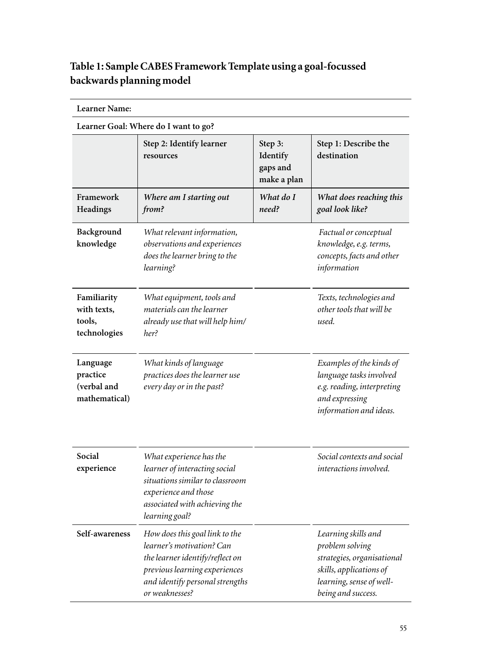# **Table 1: Sample CABES Framework Template using a goal-focussed backwards planning model**

| <b>Learner Name:</b><br>Learner Goal: Where do I want to go? |                                                                                                                                                                                      |                    |                                                                                                                                                   |
|--------------------------------------------------------------|--------------------------------------------------------------------------------------------------------------------------------------------------------------------------------------|--------------------|---------------------------------------------------------------------------------------------------------------------------------------------------|
|                                                              |                                                                                                                                                                                      |                    |                                                                                                                                                   |
| Framework<br>Headings                                        | Where am I starting out<br>from?                                                                                                                                                     | What do I<br>need? | What does reaching this<br>goal look like?                                                                                                        |
| Background<br>knowledge                                      | What relevant information,<br>observations and experiences<br>does the learner bring to the<br>learning?                                                                             |                    | Factual or conceptual<br>knowledge, e.g. terms,<br>concepts, facts and other<br>information                                                       |
| Familiarity<br>with texts,<br>tools,<br>technologies         | What equipment, tools and<br>materials can the learner<br>already use that will help him/<br>her?                                                                                    |                    | Texts, technologies and<br>other tools that will be<br>used.                                                                                      |
| Language<br>practice<br>(verbal and<br>mathematical)         | What kinds of language<br>practices does the learner use<br>every day or in the past?                                                                                                |                    | Examples of the kinds of<br>language tasks involved<br>e.g. reading, interpreting<br>and expressing<br>information and ideas.                     |
| Social<br>experience                                         | What experience has the<br>learner of interacting social<br>situations similar to classroom<br>experience and those<br>associated with achieving the<br>learning goal?               |                    | Social contexts and social<br>interactions involved.                                                                                              |
| Self-awareness                                               | How does this goal link to the<br>learner's motivation? Can<br>the learner identify/reflect on<br>previous learning experiences<br>and identify personal strengths<br>or weaknesses? |                    | Learning skills and<br>problem solving<br>strategies, organisational<br>skills, applications of<br>learning, sense of well-<br>being and success. |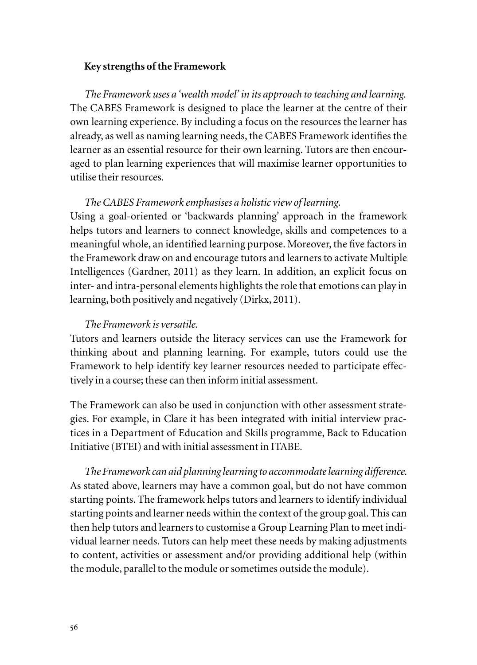#### **Key strengths of the Framework**

*The Framework uses a 'wealth model' in its approach to teaching and learning.* The CABES Framework is designed to place the learner at the centre of their own learning experience. By including a focus on the resources the learner has already, as well as naming learning needs, the CABES Framework identifies the learner as an essential resource for their own learning. Tutors are then encouraged to plan learning experiences that will maximise learner opportunities to utilise their resources.

#### *The CABES Framework emphasises a holistic view of learning.*

Using a goal-oriented or 'backwards planning' approach in the framework helps tutors and learners to connect knowledge, skills and competences to a meaningful whole, an identified learning purpose. Moreover, the five factors in the Framework draw on and encourage tutors and learners to activate Multiple Intelligences (Gardner, 2011) as they learn. In addition, an explicit focus on inter- and intra-personal elements highlights the role that emotions can play in learning, both positively and negatively (Dirkx, 2011).

#### *The Framework is versatile.*

Tutors and learners outside the literacy services can use the Framework for thinking about and planning learning. For example, tutors could use the Framework to help identify key learner resources needed to participate effectively in a course; these can then inform initial assessment.

The Framework can also be used in conjunction with other assessment strategies. For example, in Clare it has been integrated with initial interview practices in a Department of Education and Skills programme, Back to Education Initiative (BTEI) and with initial assessment in ITABE.

*The Framework can aid planning learning to accommodate learning difference.* As stated above, learners may have a common goal, but do not have common starting points. The framework helps tutors and learners to identify individual starting points and learner needs within the context of the group goal. This can then help tutors and learners to customise a Group Learning Plan to meet individual learner needs. Tutors can help meet these needs by making adjustments to content, activities or assessment and/or providing additional help (within the module, parallel to the module or sometimes outside the module).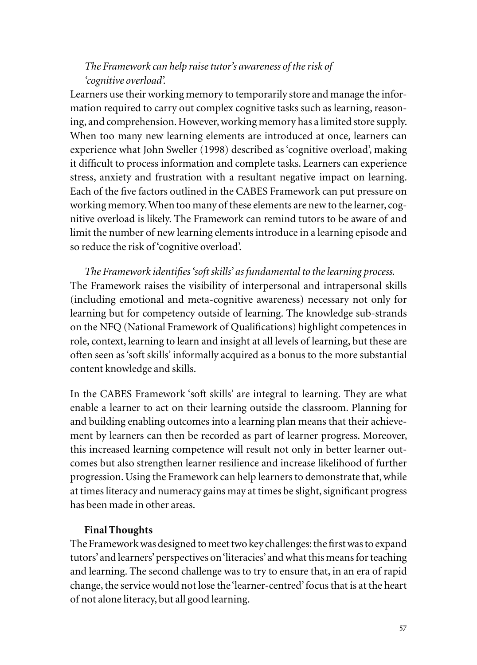# *The Framework can help raise tutor's awareness of the risk of 'cognitive overload'.*

Learners use their working memory to temporarily store and manage the information required to carry out complex cognitive tasks such as learning, reasoning, and comprehension. However, working memory has a limited store supply. When too many new learning elements are introduced at once, learners can experience what John Sweller (1998) described as 'cognitive overload', making it difficult to process information and complete tasks. Learners can experience stress, anxiety and frustration with a resultant negative impact on learning. Each of the five factors outlined in the CABES Framework can put pressure on working memory. When too many of these elements are new to the learner, cognitive overload is likely. The Framework can remind tutors to be aware of and limit the number of new learning elements introduce in a learning episode and so reduce the risk of 'cognitive overload'.

*The Framework identifies 'soft skills' as fundamental to the learning process.* The Framework raises the visibility of interpersonal and intrapersonal skills (including emotional and meta-cognitive awareness) necessary not only for learning but for competency outside of learning. The knowledge sub-strands on the NFQ (National Framework of Qualifications) highlight competences in role, context, learning to learn and insight at all levels of learning, but these are often seen as 'soft skills' informally acquired as a bonus to the more substantial content knowledge and skills.

In the CABES Framework 'soft skills' are integral to learning. They are what enable a learner to act on their learning outside the classroom. Planning for and building enabling outcomes into a learning plan means that their achievement by learners can then be recorded as part of learner progress. Moreover, this increased learning competence will result not only in better learner outcomes but also strengthen learner resilience and increase likelihood of further progression. Using the Framework can help learners to demonstrate that, while at times literacy and numeracy gains may at times be slight, significant progress has been made in other areas.

# **Final Thoughts**

The Framework was designed to meet two key challenges: the first was to expand tutors' and learners' perspectives on 'literacies' and what this means for teaching and learning. The second challenge was to try to ensure that, in an era of rapid change, the service would not lose the 'learner-centred' focus that is at the heart of not alone literacy, but all good learning.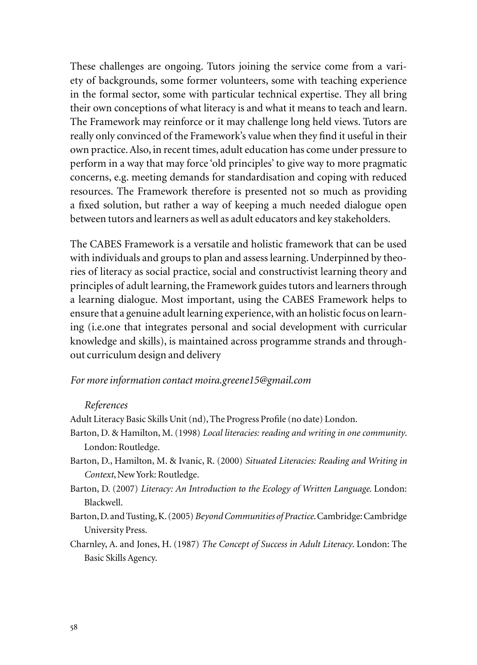These challenges are ongoing. Tutors joining the service come from a variety of backgrounds, some former volunteers, some with teaching experience in the formal sector, some with particular technical expertise. They all bring their own conceptions of what literacy is and what it means to teach and learn. The Framework may reinforce or it may challenge long held views. Tutors are really only convinced of the Framework's value when they find it useful in their own practice. Also, in recent times, adult education has come under pressure to perform in a way that may force 'old principles' to give way to more pragmatic concerns, e.g. meeting demands for standardisation and coping with reduced resources. The Framework therefore is presented not so much as providing a fixed solution, but rather a way of keeping a much needed dialogue open between tutors and learners as well as adult educators and key stakeholders.

The CABES Framework is a versatile and holistic framework that can be used with individuals and groups to plan and assess learning. Underpinned by theories of literacy as social practice, social and constructivist learning theory and principles of adult learning, the Framework guides tutors and learners through a learning dialogue. Most important, using the CABES Framework helps to ensure that a genuine adult learning experience, with an holistic focus on learning (i.e.one that integrates personal and social development with curricular knowledge and skills), is maintained across programme strands and throughout curriculum design and delivery

#### *For more information contact moira.greene15@gmail.com*

#### *References*

Adult Literacy Basic Skills Unit (nd), The Progress Profile (no date) London.

- Barton, D. & Hamilton, M. (1998) *Local literacies: reading and writing in one community*. London: Routledge.
- Barton, D., Hamilton, M. & Ivanic, R. (2000) *Situated Literacies: Reading and Writing in Context*, New York: Routledge.
- Barton, D. (2007) *Literacy: An Introduction to the Ecology of Written Language*. London: Blackwell.
- Barton, D. and Tusting, K. (2005) *Beyond Communities of Practice*. Cambridge: Cambridge University Press.
- Charnley, A. and Jones, H. (1987) *The Concept of Success in Adult Literacy*. London: The Basic Skills Agency.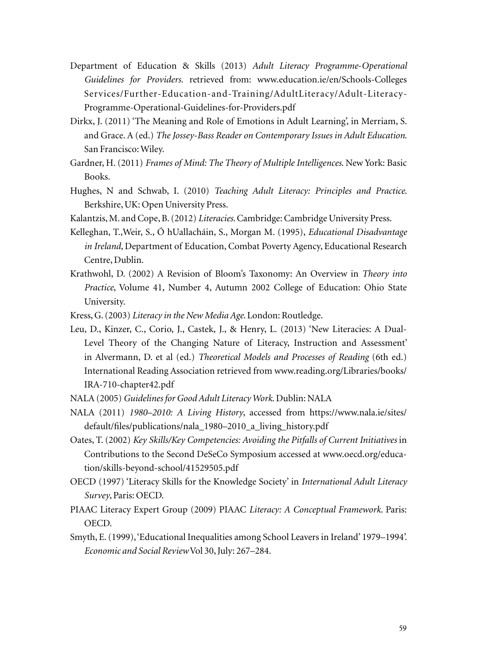- Department of Education & Skills (2013) *Adult Literacy Programme*-*Operational Guidelines for Providers.* retrieved from: www.education.ie/en/Schools-Colleges Services/Further-Education-and-Training/AdultLiteracy/Adult-Literacy-Programme-Operational-Guidelines-for-Providers.pdf
- Dirkx, J. (2011) 'The Meaning and Role of Emotions in Adult Learning', in Merriam, S. and Grace. A (ed.) *The Jossey-Bass Reader on Contemporary Issues in Adult Education*. San Francisco: Wiley.
- Gardner, H. (2011) *Frames of Mind: The Theory of Multiple Intelligences*. New York: Basic Books.
- Hughes, N and Schwab, I. (2010) *Teaching Adult Literacy: Principles and Practice*. Berkshire, UK: Open University Press.
- Kalantzis, M. and Cope, B. (2012) *Literacies*. Cambridge: Cambridge University Press.
- Kelleghan, T.,Weir, S., Ó hUallacháin, S., Morgan M. (1995), *Educational Disadvantage in Ireland*, Department of Education, Combat Poverty Agency, Educational Research Centre, Dublin.
- Krathwohl, D. (2002) A Revision of Bloom's Taxonomy: An Overview in *Theory into Practice*, Volume 41, Number 4, Autumn 2002 College of Education: Ohio State University.
- Kress, G. (2003) *Literacy in the New Media Age*. London: Routledge.
- Leu, D., Kinzer, C., Corio, J., Castek, J., & Henry, L. (2013) 'New Literacies: A Dual-Level Theory of the Changing Nature of Literacy, Instruction and Assessment' in Alvermann, D. et al (ed.) *Theoretical Models and Processes of Reading* (6th ed.) International Reading Association retrieved from www.reading.org/Libraries/books/ IRA-710-chapter42.pdf
- NALA (2005) *Guidelines for Good Adult Literacy Work*. Dublin: NALA
- NALA (2011) *1980–2010: A Living History*, accessed from https://www.nala.ie/sites/ default/files/publications/nala\_1980–2010\_a\_living\_history.pdf
- Oates, T. (2002) *Key Skills/Key Competencies: Avoiding the Pitfalls of Current Initiatives* in Contributions to the Second DeSeCo Symposium accessed at www.oecd.org/education/skills-beyond-school/41529505.pdf
- OECD (1997) 'Literacy Skills for the Knowledge Society' in *International Adult Literacy Survey*, Paris: OECD.
- PIAAC Literacy Expert Group (2009) PIAAC *Literacy: A Conceptual Framework*. Paris: OECD.
- Smyth, E. (1999), 'Educational Inequalities among School Leavers in Ireland' 1979–1994'. *Economic and Social Review* Vol 30, July: 267–284.